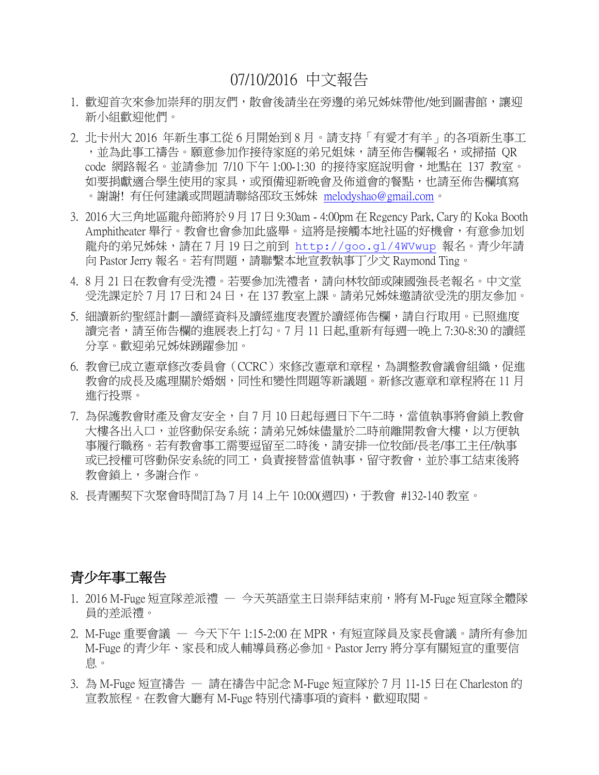# 07/10/2016 中文報告

- 1. 歡迎首次來參加崇拜的朋友們,散會後請坐在旁邊的弟兄姊妹帶他/她到圖書館,讓迎 新小組歡迎他們。
- 2. 北卡州大 2016 年新生事工從 6 月開始到 8 月。請支持「有愛才有羊」的各項新生事工 ,並為此事工禱告。願意參加作接待家庭的弟兄姐妹,請至佈告欄報名,或掃描 QR code 網路報名。並請參加 7/10 下午 1:00-1:30 的接待家庭說明會,地點在 137 教室。 如要捐獻適合學生使用的家具,或預備迎新晚會及佈道會的餐點,也請至佈告欄填寫 。謝謝! 有任何建議或問題請聯絡邵玫玉姊妹 [melodyshao@gmail.com](mailto:melodyshao@gmail.com)。
- 3. 2016 大三角地區龍舟節將於 9 月 17 日 9:30am 4:00pm 在 Regency Park, Cary 的 Koka Booth Amphitheater 舉行。教會也會參加此盛舉。這將是接觸本地社區的好機會,有意參加划 龍舟的弟兄姊妹,請在 7 月 19 日之前到 <http://goo.gl/4WVwup> 報名。青少年請 向 Pastor Jerry 報名。若有問題,請聯繫本地宣教執事丁少文 Raymond Ting。
- 4. 8 月 21 日在教會有受洗禮。若要參加洗禮者,請向林牧師或陳國強長老報名。中文堂 受洗課定於 7 月 17 日和 24 日,在 137 教室上課。請弟兄姊妹邀請欲受洗的朋友參加。
- 5. 細讀新約聖經計劃一讀經資料及讀經進度表置於讀經佈告欄,請自行取用。已照進度 讀完者,請至佈告欄的進展表上打勾。7月11日起,重新有每週一晚上 7:30-8:30 的讀經 分享。歡迎弟兄姊妹踴躍參加。
- 6. 教會已成立憲章修改委員會(CCRC)來修改憲章和章程,為調整教會議會組織,促進 教會的成長及處理關於婚姻,同性和變性問題等新議題。新修改憲章和章程將在 11 月 進行投票。
- 7. 為保護教會財產及會友安全,自 7 月 10 日起每週日下午二時,當值執事將會鎖上教會 大樓各出入口,並啓動保安系統;請弟兄姊妹儘量於二時前離開教會大樓,以方便執 事履行職務。若有教會事工需要逗留至二時後,請安排一位牧師/長老/事工主任/執事 或已授權可啓動保安系統的同工,負責接替當值執事,留守教會,並於事工結束後將 教會鎖上,多謝合作。
- 8. 長青團契下次聚會時間訂為 7 月 14 上午 10:00(週四),于教會 #132-140 教室。

#### 青少年事工報告

- 1. 2016 M-Fuge 短宣隊差派禮 今天英語堂主日崇拜結束前,將有 M-Fuge 短宣隊全體隊 員的差派禮。
- $2.$  M-Fuge 重要會議 今天下午 1:15-2:00 在 MPR,有短宣隊員及家長會議。請所有參加 M-Fuge 的青少年、家長和成人輔導員務必參加。Pastor Jerry 將分享有關短宣的重要信 息。
- 3. 為 M-Fuge 短宣禱告 請在禱告中記念 M-Fuge 短宣隊於 7 月 11-15 日在 Charleston 的 宣教旅程。在教會大廳有 M-Fuge 特別代禱事項的資料,歡迎取閱。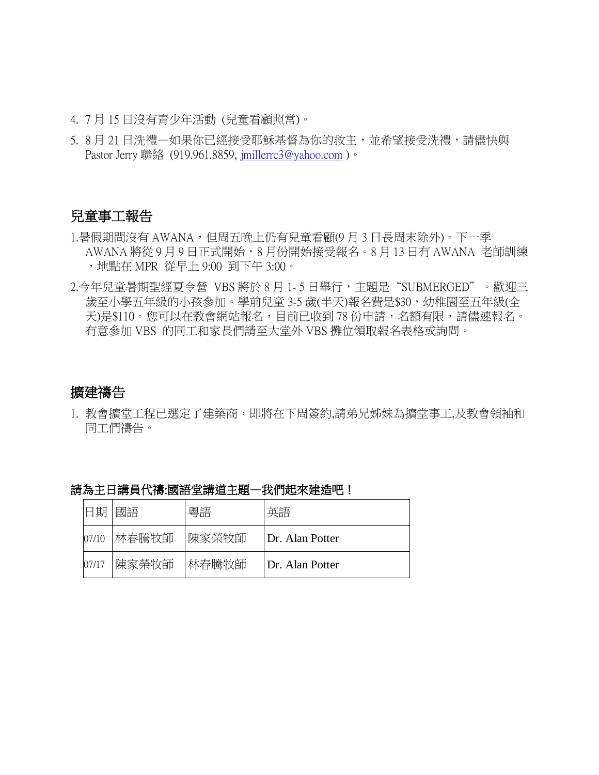- 4. 7 月 15 日沒有青少年活動 (兒童看顧照常)。
- 5. 8月21日洗禮一如果你已經接受耶穌基督為你的救主,並希望接受洗禮,請儘快與 Pastor Jerry 聯絡 (919.961.8859, [jmillerrc3@yahoo.com](mailto:jmillerrc3@yahoo.com))。

#### 兒童事工報告

- 1.暑假期間沒有 AWANA,但周五晚上仍有兒童看顧(9月3日長周末除外)。下一季 AWANA 將從 9 月 9 日正式開始,8 月份開始接受報名。8 月 13 日有 AWANA 老師訓練 ,地點在 MPR 從早上 9:00 到下午 3:00。
- 2.今年兒童暑期聖經夏令營 VBS 將於 8 月 1- 5 日舉行,主題是"SUBMERGED"。歡迎三 歲至小學五年級的小孩參加。學前兒童 3-5 歲(半天)報名費是\$30,幼稚園至五年級(全 天)是\$110。您可以在教會網站報名,目前已收到 78 份申請,名額有限,請儘速報名。 有意參加 VBS 的同工和家長們請至大堂外 VBS 攤位領取報名表格或詢問。

### 擴建禱告

1. 教會擴堂工程已選定了建築商,即將在下周簽約,請弟兄姊妹為擴堂事工,及教會領袖和 同工們禱告。

| 日期    | 國語    | 粵語    | 英語              |
|-------|-------|-------|-----------------|
| 07/10 | 林春騰牧師 | 陳家榮牧師 | Dr. Alan Potter |
| 07/17 | 陳家榮牧師 | 林春騰牧師 | Dr. Alan Potter |

請為主日講員代禱:國語堂講道主題—我們起來建造吧!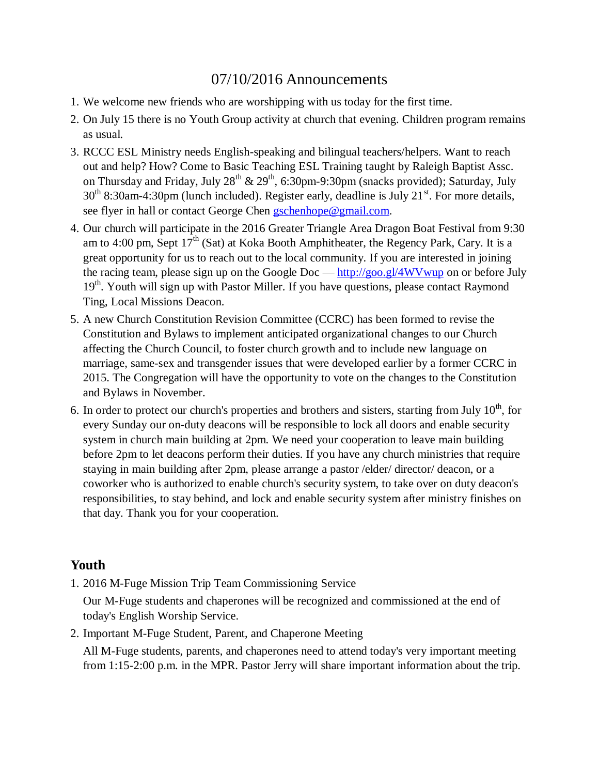# 07/10/2016 Announcements

- 1. We welcome new friends who are worshipping with us today for the first time.
- 2. On July 15 there is no Youth Group activity at church that evening. Children program remains as usual.
- 3. RCCC ESL Ministry needs English-speaking and bilingual teachers/helpers. Want to reach out and help? How? Come to Basic Teaching ESL Training taught by Raleigh Baptist Assc. on Thursday and Friday, July 28<sup>th</sup> & 29<sup>th</sup>, 6:30pm-9:30pm (snacks provided); Saturday, July  $30<sup>th</sup> 8:30$ am-4:30pm (lunch included). Register early, deadline is July 21<sup>st</sup>. For more details, see flyer in hall or contact George Chen [gschenhope@gmail.com.](mailto:gschenhope@gmail.com)
- 4. Our church will participate in the 2016 Greater Triangle Area Dragon Boat Festival from 9:30 am to 4:00 pm, Sept  $17<sup>th</sup>$  (Sat) at Koka Booth Amphitheater, the Regency Park, Cary. It is a great opportunity for us to reach out to the local community. If you are interested in joining the racing team, please sign up on the Google Doc —  $\frac{http://goo.gl/4WVwup}{http://goo.gl/4WVwup}$  $\frac{http://goo.gl/4WVwup}{http://goo.gl/4WVwup}$  $\frac{http://goo.gl/4WVwup}{http://goo.gl/4WVwup}$  on or before July  $19<sup>th</sup>$ . Youth will sign up with Pastor Miller. If you have questions, please contact Raymond Ting, Local Missions Deacon.
- 5. A new Church Constitution Revision Committee (CCRC) has been formed to revise the Constitution and Bylaws to implement anticipated organizational changes to our Church affecting the Church Council, to foster church growth and to include new language on marriage, same-sex and transgender issues that were developed earlier by a former CCRC in 2015. The Congregation will have the opportunity to vote on the changes to the Constitution and Bylaws in November.
- 6. In order to protect our church's properties and brothers and sisters, starting from July  $10^{th}$ , for every Sunday our on-duty deacons will be responsible to lock all doors and enable security system in church main building at 2pm. We need your cooperation to leave main building before 2pm to let deacons perform their duties. If you have any church ministries that require staying in main building after 2pm, please arrange a pastor /elder/ director/ deacon, or a coworker who is authorized to enable church's security system, to take over on duty deacon's responsibilities, to stay behind, and lock and enable security system after ministry finishes on that day. Thank you for your cooperation.

### **Youth**

1. 2016 M-Fuge Mission Trip Team Commissioning Service

Our M-Fuge students and chaperones will be recognized and commissioned at the end of today's English Worship Service.

2. Important M-Fuge Student, Parent, and Chaperone Meeting

All M-Fuge students, parents, and chaperones need to attend today's very important meeting from 1:15-2:00 p.m. in the MPR. Pastor Jerry will share important information about the trip.